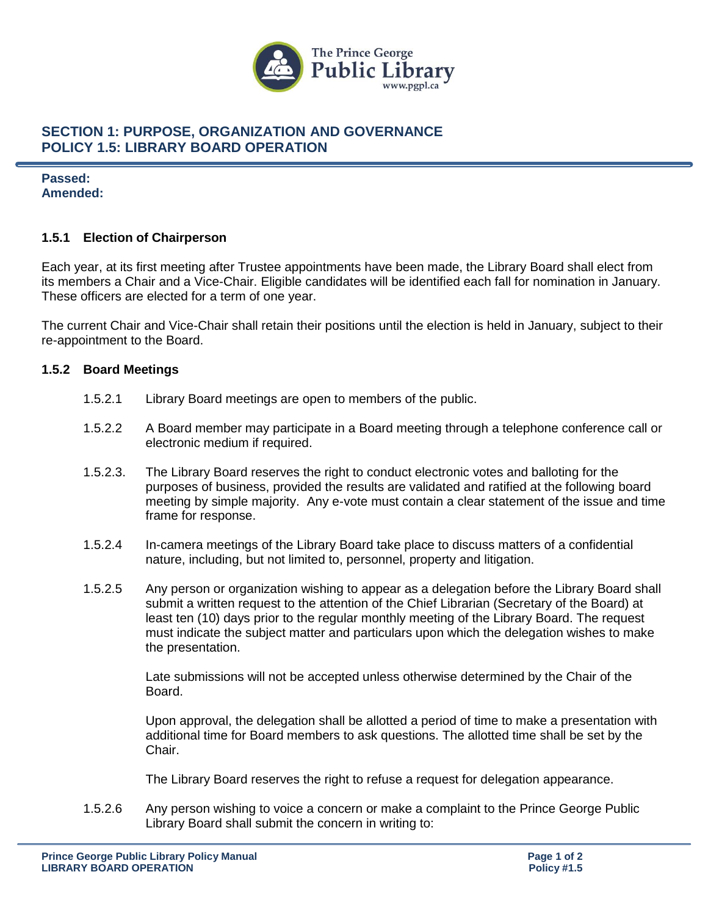

## **SECTION 1: PURPOSE, ORGANIZATION AND GOVERNANCE POLICY 1.5: LIBRARY BOARD OPERATION**

## **Passed: Amended:**

#### **1.5.1 Election of Chairperson**

Each year, at its first meeting after Trustee appointments have been made, the Library Board shall elect from its members a Chair and a Vice-Chair. Eligible candidates will be identified each fall for nomination in January. These officers are elected for a term of one year.

The current Chair and Vice-Chair shall retain their positions until the election is held in January, subject to their re-appointment to the Board.

## **1.5.2 Board Meetings**

- 1.5.2.1 Library Board meetings are open to members of the public.
- 1.5.2.2 A Board member may participate in a Board meeting through a telephone conference call or electronic medium if required.
- 1.5.2.3. The Library Board reserves the right to conduct electronic votes and balloting for the purposes of business, provided the results are validated and ratified at the following board meeting by simple majority. Any e-vote must contain a clear statement of the issue and time frame for response.
- 1.5.2.4 In-camera meetings of the Library Board take place to discuss matters of a confidential nature, including, but not limited to, personnel, property and litigation.
- 1.5.2.5 Any person or organization wishing to appear as a delegation before the Library Board shall submit a written request to the attention of the Chief Librarian (Secretary of the Board) at least ten (10) days prior to the regular monthly meeting of the Library Board. The request must indicate the subject matter and particulars upon which the delegation wishes to make the presentation.

Late submissions will not be accepted unless otherwise determined by the Chair of the Board.

Upon approval, the delegation shall be allotted a period of time to make a presentation with additional time for Board members to ask questions. The allotted time shall be set by the Chair.

The Library Board reserves the right to refuse a request for delegation appearance.

1.5.2.6 Any person wishing to voice a concern or make a complaint to the Prince George Public Library Board shall submit the concern in writing to: